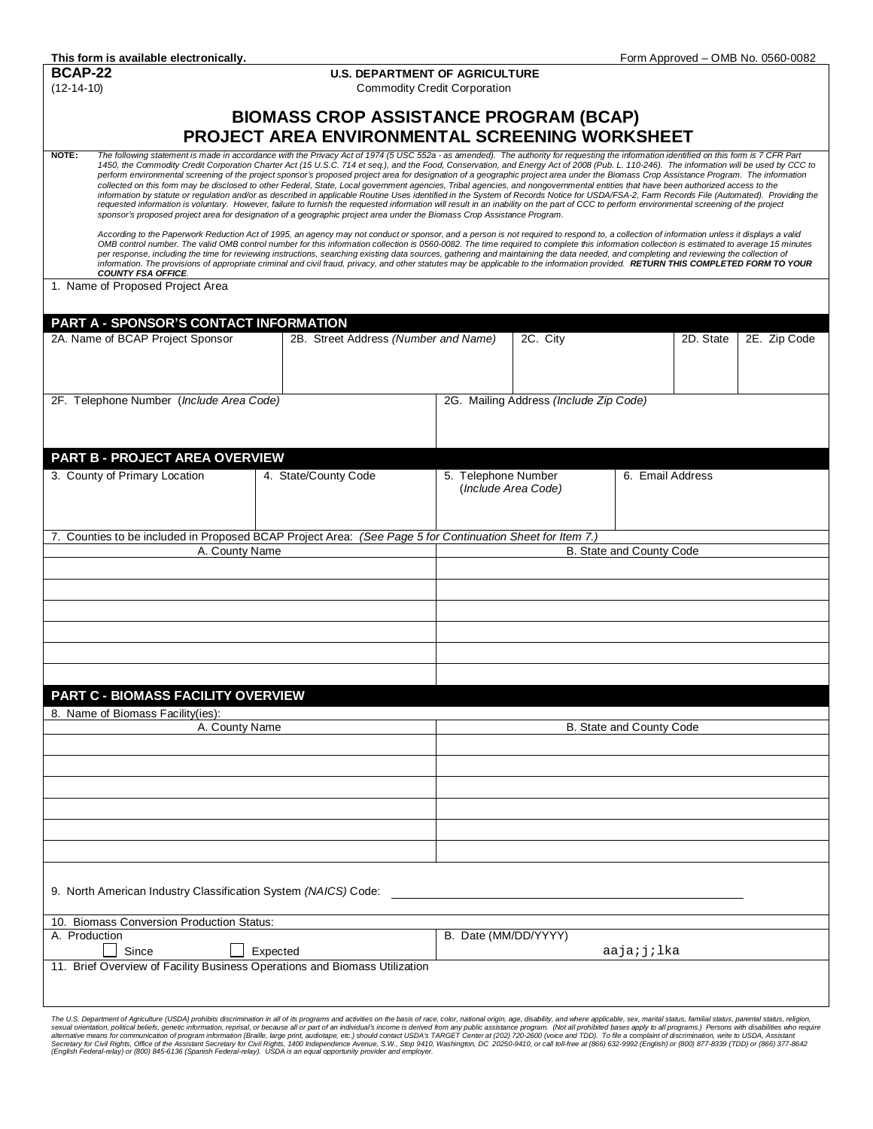**BCAP-22 U.S. DEPARTMENT OF AGRICULTURE**<br>(12-14-10) **Commodity Credit Corporation** Commodity Credit Corporation

## **BIOMASS CROP ASSISTANCE PROGRAM (BCAP) PROJECT AREA ENVIRONMENTAL SCREENING WORKSHEET**

NOTE: The following statement is made in accordance with the Privacy Act of 1974 (5 USC 552a - as amended). The authority for requesting the information identified on this form is 7 CFR Part<br>1450, the Commodity Credit Corp perform environmental screening of the project sponsor's proposed project area for designation of a geographic project area under the Biomass Crop Assistance Program. The information<br>collected on this form may be disclosed information by statute or regulation and/or as described in applicable Routine Uses identified in the System of Records Notice for USDA/FSA-2, Farm Records File (Automated). Providing the<br>requested information is voluntary *sponsor's proposed project area for designation of a geographic project area under the Biomass Crop Assistance Program.*

*According to the Paperwork Reduction Act of 1995, an agency may not conduct or sponsor, and a person is not required to respond to, a collection of information unless it displays a valid OMB control number. The valid OMB control number for this information collection is 0560-0082. The time required to complete this information collection is estimated to average 15 minutes*  per response, including the time for reviewing instructions, searching existing data sources, gathering and maintaining the data needed, and completing and reviewing the collection of *information. The provisions of appropriate criminal and civil fraud, privacy, and other statutes may be applicable to the information provided. RETURN THIS COMPLETED FORM TO YOUR COUNTY FSA OFFICE.*

1. Name of Proposed Project Area

| PART A - SPONSOR'S CONTACT INFORMATION                                                                    |                                      |                          |                                        |                          |           |              |
|-----------------------------------------------------------------------------------------------------------|--------------------------------------|--------------------------|----------------------------------------|--------------------------|-----------|--------------|
| 2A. Name of BCAP Project Sponsor                                                                          | 2B. Street Address (Number and Name) |                          | 2C. City                               |                          | 2D. State | 2E. Zip Code |
|                                                                                                           |                                      |                          |                                        |                          |           |              |
|                                                                                                           |                                      |                          |                                        |                          |           |              |
|                                                                                                           |                                      |                          |                                        |                          |           |              |
| 2F. Telephone Number (Include Area Code)                                                                  |                                      |                          | 2G. Mailing Address (Include Zip Code) |                          |           |              |
|                                                                                                           |                                      |                          |                                        |                          |           |              |
|                                                                                                           |                                      |                          |                                        |                          |           |              |
| <b>PART B - PROJECT AREA OVERVIEW</b>                                                                     |                                      |                          |                                        |                          |           |              |
| 3. County of Primary Location                                                                             | 4. State/County Code                 | 5. Telephone Number      |                                        | 6. Email Address         |           |              |
|                                                                                                           |                                      | (Include Area Code)      |                                        |                          |           |              |
|                                                                                                           |                                      |                          |                                        |                          |           |              |
|                                                                                                           |                                      |                          |                                        |                          |           |              |
| 7. Counties to be included in Proposed BCAP Project Area: (See Page 5 for Continuation Sheet for Item 7.) |                                      |                          |                                        |                          |           |              |
| A. County Name                                                                                            |                                      | B. State and County Code |                                        |                          |           |              |
|                                                                                                           |                                      |                          |                                        |                          |           |              |
|                                                                                                           |                                      |                          |                                        |                          |           |              |
|                                                                                                           |                                      |                          |                                        |                          |           |              |
|                                                                                                           |                                      |                          |                                        |                          |           |              |
|                                                                                                           |                                      |                          |                                        |                          |           |              |
|                                                                                                           |                                      |                          |                                        |                          |           |              |
|                                                                                                           |                                      |                          |                                        |                          |           |              |
| PART C - BIOMASS FACILITY OVERVIEW                                                                        |                                      |                          |                                        |                          |           |              |
| 8. Name of Biomass Facility(ies):                                                                         |                                      |                          |                                        |                          |           |              |
| A. County Name                                                                                            |                                      |                          |                                        | B. State and County Code |           |              |
|                                                                                                           |                                      |                          |                                        |                          |           |              |
|                                                                                                           |                                      |                          |                                        |                          |           |              |
|                                                                                                           |                                      |                          |                                        |                          |           |              |
|                                                                                                           |                                      |                          |                                        |                          |           |              |
|                                                                                                           |                                      |                          |                                        |                          |           |              |
|                                                                                                           |                                      |                          |                                        |                          |           |              |
|                                                                                                           |                                      |                          |                                        |                          |           |              |
|                                                                                                           |                                      |                          |                                        |                          |           |              |
| 9. North American Industry Classification System (NAICS) Code:                                            |                                      |                          |                                        |                          |           |              |
| 10. Biomass Conversion Production Status:                                                                 |                                      |                          |                                        |                          |           |              |
| A. Production                                                                                             |                                      | B. Date (MM/DD/YYYY)     |                                        |                          |           |              |
| Since                                                                                                     | Expected                             |                          |                                        | aaja;j;lka               |           |              |
| 11. Brief Overview of Facility Business Operations and Biomass Utilization                                |                                      |                          |                                        |                          |           |              |
|                                                                                                           |                                      |                          |                                        |                          |           |              |
|                                                                                                           |                                      |                          |                                        |                          |           |              |

The U.S. Department of Agriculture (USDA) prohibits discrimation in all of its programs and activities on the basis of race, color, nation and a birecky cannot proportional status, rendels and the experiment of Agriculture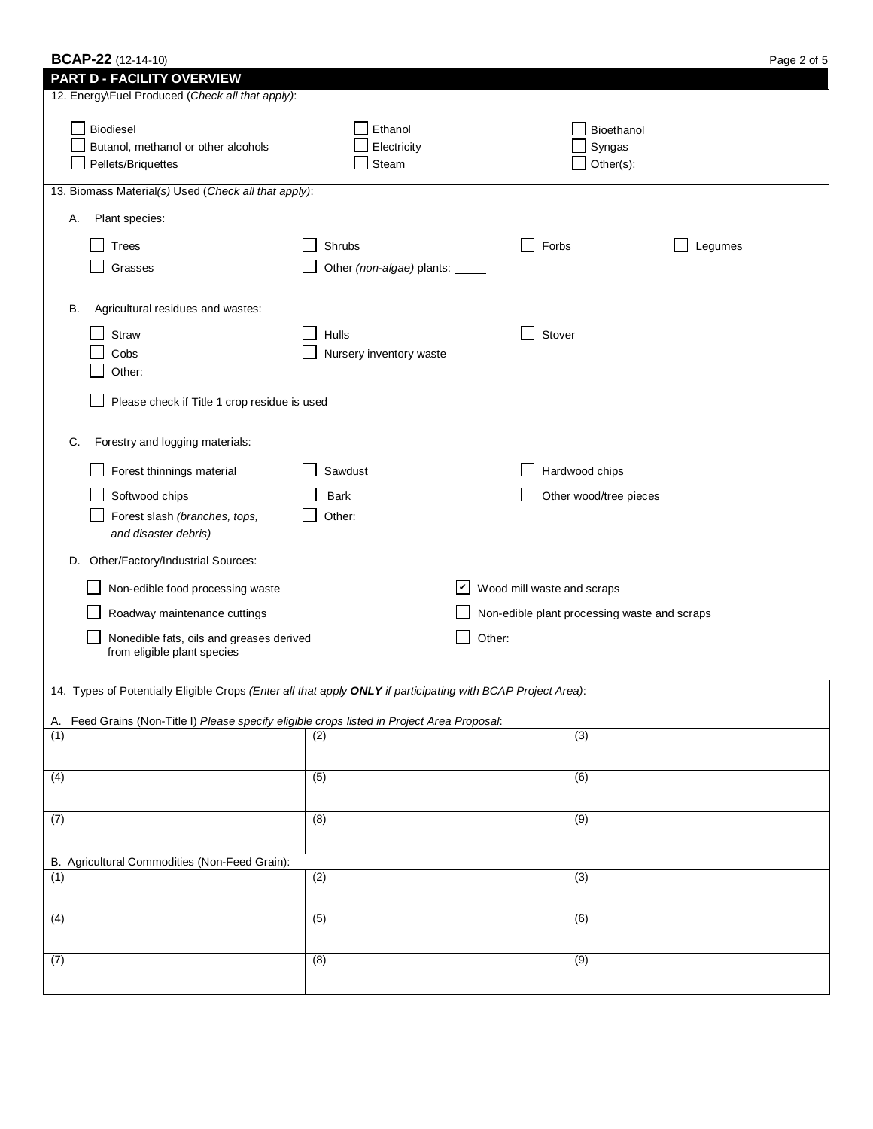| <b>BCAP-22</b> (12-14-10)                                                                                    |                                 |                                  |                                              | Page 2 of 5 |
|--------------------------------------------------------------------------------------------------------------|---------------------------------|----------------------------------|----------------------------------------------|-------------|
| <b>PART D - FACILITY OVERVIEW</b><br>12. Energy\Fuel Produced (Check all that apply):                        |                                 |                                  |                                              |             |
| Biodiesel<br>Butanol, methanol or other alcohols<br>Pellets/Briquettes                                       | Ethanol<br>Electricity<br>Steam |                                  | Bioethanol<br>Syngas<br>Other(s):            |             |
| 13. Biomass Material(s) Used (Check all that apply):                                                         |                                 |                                  |                                              |             |
| Plant species:<br>Α.                                                                                         |                                 |                                  |                                              |             |
| Trees                                                                                                        | Shrubs                          | Forbs                            | Legumes                                      |             |
| Grasses                                                                                                      | Other (non-algae) plants: _____ |                                  |                                              |             |
|                                                                                                              |                                 |                                  |                                              |             |
| Agricultural residues and wastes:<br>В.                                                                      |                                 |                                  |                                              |             |
| Straw                                                                                                        | Hulls                           | Stover                           |                                              |             |
| Cobs                                                                                                         | Nursery inventory waste         |                                  |                                              |             |
| Other:                                                                                                       |                                 |                                  |                                              |             |
| Please check if Title 1 crop residue is used                                                                 |                                 |                                  |                                              |             |
| Forestry and logging materials:<br>C.                                                                        |                                 |                                  |                                              |             |
| Forest thinnings material                                                                                    | Sawdust                         |                                  | Hardwood chips                               |             |
| Softwood chips                                                                                               | Bark                            |                                  | Other wood/tree pieces                       |             |
| Forest slash (branches, tops,<br>and disaster debris)                                                        | Other:                          |                                  |                                              |             |
| D. Other/Factory/Industrial Sources:                                                                         |                                 |                                  |                                              |             |
| Non-edible food processing waste                                                                             |                                 | $ v $ Wood mill waste and scraps |                                              |             |
| Roadway maintenance cuttings                                                                                 |                                 |                                  | Non-edible plant processing waste and scraps |             |
| Nonedible fats, oils and greases derived                                                                     |                                 | Other:                           |                                              |             |
| from eligible plant species                                                                                  |                                 |                                  |                                              |             |
| 14. Types of Potentially Eligible Crops (Enter all that apply ONLY if participating with BCAP Project Area): |                                 |                                  |                                              |             |
|                                                                                                              |                                 |                                  |                                              |             |
| A. Feed Grains (Non-Title I) Please specify eligible crops listed in Project Area Proposal:<br>(1)           | (2)                             |                                  | (3)                                          |             |
|                                                                                                              |                                 |                                  |                                              |             |
| $\overline{(4)}$                                                                                             | (5)                             |                                  | $\overline{(6)}$                             |             |
|                                                                                                              |                                 |                                  |                                              |             |
| $\overline{(7)}$                                                                                             | (8)                             |                                  | $\overline{(9)}$                             |             |
|                                                                                                              |                                 |                                  |                                              |             |
| B. Agricultural Commodities (Non-Feed Grain):<br>(1)                                                         | (2)                             |                                  | (3)                                          |             |
|                                                                                                              |                                 |                                  |                                              |             |
| (4)                                                                                                          | $\overline{(5)}$                |                                  | $\overline{(6)}$                             |             |
|                                                                                                              |                                 |                                  |                                              |             |

(7) (8) (9)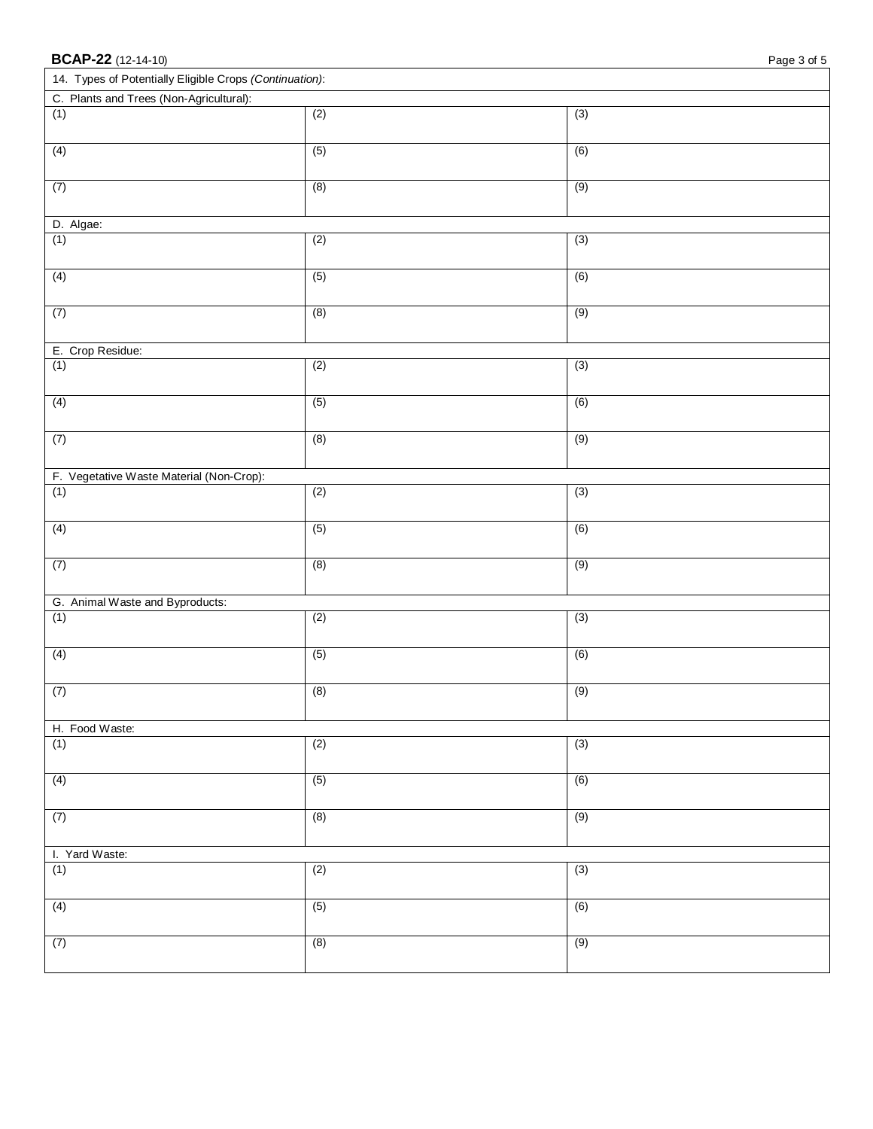| <b>BCAP-22</b> (12-14-10)<br>Page 3 of 5                |                  |                  |  |  |
|---------------------------------------------------------|------------------|------------------|--|--|
| 14. Types of Potentially Eligible Crops (Continuation): |                  |                  |  |  |
| C. Plants and Trees (Non-Agricultural):                 |                  |                  |  |  |
| (1)                                                     | (2)              | (3)              |  |  |
| (4)                                                     | (5)              | $\overline{(6)}$ |  |  |
| (7)                                                     | (8)              | (9)              |  |  |
| D. Algae:                                               |                  |                  |  |  |
| (1)                                                     | (2)              | $\overline{(3)}$ |  |  |
| (4)                                                     | (5)              | (6)              |  |  |
| (7)                                                     | (8)              | (9)              |  |  |
| E. Crop Residue:                                        |                  |                  |  |  |
| (1)                                                     | (2)              | (3)              |  |  |
| (4)                                                     | (5)              | $\overline{(6)}$ |  |  |
| (7)                                                     | (8)              | (9)              |  |  |
| F. Vegetative Waste Material (Non-Crop):                |                  |                  |  |  |
| (1)                                                     | (2)              | (3)              |  |  |
| (4)                                                     | (5)              | $\overline{(6)}$ |  |  |
| (7)                                                     | (8)              | (9)              |  |  |
| G. Animal Waste and Byproducts:                         |                  |                  |  |  |
| (1)                                                     | (2)              | (3)              |  |  |
| (4)                                                     | (5)              | (6)              |  |  |
| (7)                                                     | (8)              | (9)              |  |  |
| H. Food Waste:                                          |                  |                  |  |  |
| (1)                                                     | (2)              | (3)              |  |  |
| (4)                                                     | (5)              | (6)              |  |  |
| (7)                                                     | (8)              | (9)              |  |  |
| I. Yard Waste:                                          |                  |                  |  |  |
| (1)                                                     | $\overline{(2)}$ | $\overline{(3)}$ |  |  |
| (4)                                                     | (5)              | (6)              |  |  |
| (7)                                                     | (8)              | (9)              |  |  |
|                                                         |                  |                  |  |  |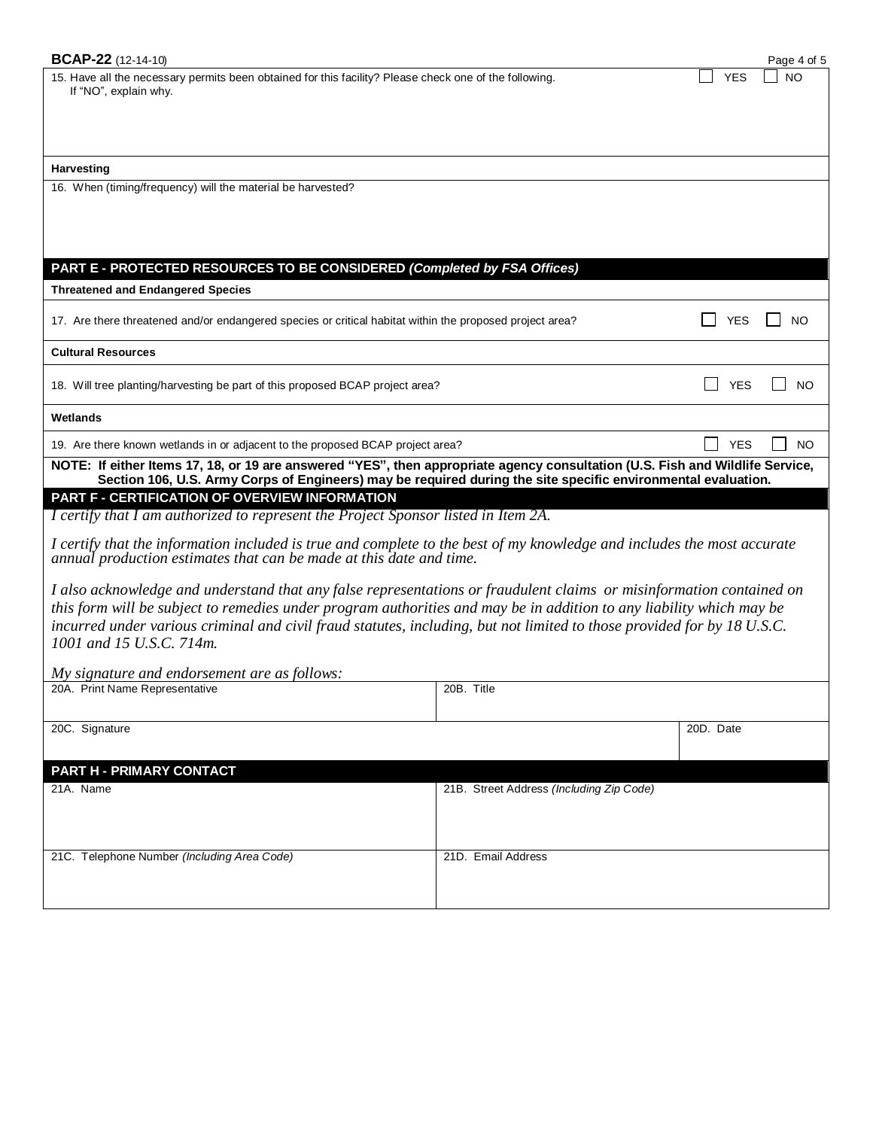| <b>BCAP-22</b> (12-14-10)                                                                                                                                                                                                                                                                                                                                                                           |                                          | Page 4 of 5                  |  |  |
|-----------------------------------------------------------------------------------------------------------------------------------------------------------------------------------------------------------------------------------------------------------------------------------------------------------------------------------------------------------------------------------------------------|------------------------------------------|------------------------------|--|--|
| 15. Have all the necessary permits been obtained for this facility? Please check one of the following.<br>If "NO", explain why.                                                                                                                                                                                                                                                                     |                                          | <b>YES</b><br><b>NO</b>      |  |  |
| Harvesting                                                                                                                                                                                                                                                                                                                                                                                          |                                          |                              |  |  |
| 16. When (timing/frequency) will the material be harvested?                                                                                                                                                                                                                                                                                                                                         |                                          |                              |  |  |
| PART E - PROTECTED RESOURCES TO BE CONSIDERED (Completed by FSA Offices)                                                                                                                                                                                                                                                                                                                            |                                          |                              |  |  |
| <b>Threatened and Endangered Species</b>                                                                                                                                                                                                                                                                                                                                                            |                                          |                              |  |  |
| 17. Are there threatened and/or endangered species or critical habitat within the proposed project area?                                                                                                                                                                                                                                                                                            |                                          | <b>YES</b><br>NO.            |  |  |
| <b>Cultural Resources</b>                                                                                                                                                                                                                                                                                                                                                                           |                                          |                              |  |  |
| 18. Will tree planting/harvesting be part of this proposed BCAP project area?                                                                                                                                                                                                                                                                                                                       |                                          | <b>YES</b><br>N <sub>O</sub> |  |  |
| Wetlands                                                                                                                                                                                                                                                                                                                                                                                            |                                          |                              |  |  |
| <b>YES</b><br>19. Are there known wetlands in or adjacent to the proposed BCAP project area?<br><b>NO</b>                                                                                                                                                                                                                                                                                           |                                          |                              |  |  |
| NOTE: If either Items 17, 18, or 19 are answered "YES", then appropriate agency consultation (U.S. Fish and Wildlife Service,<br>Section 106, U.S. Army Corps of Engineers) may be required during the site specific environmental evaluation.                                                                                                                                                      |                                          |                              |  |  |
| PART F - CERTIFICATION OF OVERVIEW INFORMATION                                                                                                                                                                                                                                                                                                                                                      |                                          |                              |  |  |
| I certify that I am authorized to represent the Project Sponsor listed in Item 2A.                                                                                                                                                                                                                                                                                                                  |                                          |                              |  |  |
| I certify that the information included is true and complete to the best of my knowledge and includes the most accurate<br>annual production estimates that can be made at this date and time.                                                                                                                                                                                                      |                                          |                              |  |  |
| I also acknowledge and understand that any false representations or fraudulent claims or misinformation contained on<br>this form will be subject to remedies under program authorities and may be in addition to any liability which may be<br>incurred under various criminal and civil fraud statutes, including, but not limited to those provided for by 18 U.S.C.<br>1001 and 15 U.S.C. 714m. |                                          |                              |  |  |
| My signature and endorsement are as follows:                                                                                                                                                                                                                                                                                                                                                        |                                          |                              |  |  |
| 20A. Print Name Representative                                                                                                                                                                                                                                                                                                                                                                      | 20B. Title                               |                              |  |  |
| 20C. Signature                                                                                                                                                                                                                                                                                                                                                                                      |                                          | 20D. Date                    |  |  |
|                                                                                                                                                                                                                                                                                                                                                                                                     |                                          |                              |  |  |
| PART H - PRIMARY CONTACT<br>21A. Name                                                                                                                                                                                                                                                                                                                                                               | 21B. Street Address (Including Zip Code) |                              |  |  |
|                                                                                                                                                                                                                                                                                                                                                                                                     |                                          |                              |  |  |
| 21C. Telephone Number (Including Area Code)                                                                                                                                                                                                                                                                                                                                                         | 21D. Email Address                       |                              |  |  |
|                                                                                                                                                                                                                                                                                                                                                                                                     |                                          |                              |  |  |